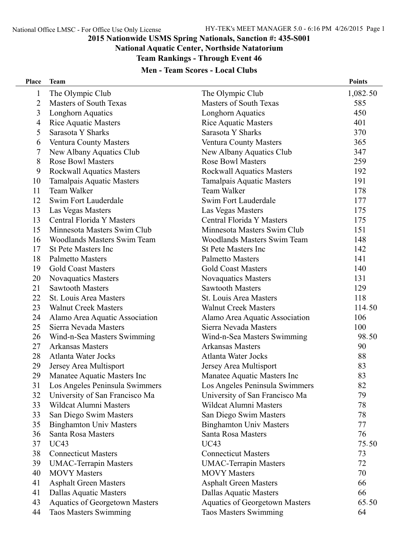#### **National Aquatic Center, Northside Natatorium**

**Team Rankings - Through Event 46**

# **Men - Team Scores - Local Clubs**

| <b>Place</b>   | <b>Team</b>                        |                                       | <b>Points</b> |
|----------------|------------------------------------|---------------------------------------|---------------|
| $\mathbf{1}$   | The Olympic Club                   | The Olympic Club                      | 1,082.50      |
| $\overline{2}$ | <b>Masters of South Texas</b>      | <b>Masters of South Texas</b>         | 585           |
| 3              | Longhorn Aquatics                  | Longhorn Aquatics                     | 450           |
| $\overline{4}$ | <b>Rice Aquatic Masters</b>        | <b>Rice Aquatic Masters</b>           | 401           |
| 5              | Sarasota Y Sharks                  | Sarasota Y Sharks                     | 370           |
| 6              | Ventura County Masters             | Ventura County Masters                | 365           |
| 7              | New Albany Aquatics Club           | New Albany Aquatics Club              | 347           |
| 8              | <b>Rose Bowl Masters</b>           | <b>Rose Bowl Masters</b>              | 259           |
| 9              | <b>Rockwall Aquatics Masters</b>   | <b>Rockwall Aquatics Masters</b>      | 192           |
| 10             | <b>Tamalpais Aquatic Masters</b>   | <b>Tamalpais Aquatic Masters</b>      | 191           |
| 11             | Team Walker                        | Team Walker                           | 178           |
| 12             | Swim Fort Lauderdale               | Swim Fort Lauderdale                  | 177           |
| 13             | Las Vegas Masters                  | Las Vegas Masters                     | 175           |
| 13             | Central Florida Y Masters          | Central Florida Y Masters             | 175           |
| 15             | Minnesota Masters Swim Club        | Minnesota Masters Swim Club           | 151           |
| 16             | <b>Woodlands Masters Swim Team</b> | <b>Woodlands Masters Swim Team</b>    | 148           |
| 17             | <b>St Pete Masters Inc</b>         | <b>St Pete Masters Inc</b>            | 142           |
| 18             | <b>Palmetto Masters</b>            | <b>Palmetto Masters</b>               | 141           |
| 19             | <b>Gold Coast Masters</b>          | <b>Gold Coast Masters</b>             | 140           |
| 20             | <b>Novaquatics Masters</b>         | <b>Novaquatics Masters</b>            | 131           |
| 21             | <b>Sawtooth Masters</b>            | <b>Sawtooth Masters</b>               | 129           |
| 22             | St. Louis Area Masters             | St. Louis Area Masters                | 118           |
| 23             | <b>Walnut Creek Masters</b>        | <b>Walnut Creek Masters</b>           | 114.50        |
| 24             | Alamo Area Aquatic Association     | Alamo Area Aquatic Association        | 106           |
| 25             | Sierra Nevada Masters              | Sierra Nevada Masters                 | 100           |
| 26             | Wind-n-Sea Masters Swimming        | Wind-n-Sea Masters Swimming           | 98.50         |
| 27             | <b>Arkansas Masters</b>            | <b>Arkansas Masters</b>               | 90            |
| 28             | Atlanta Water Jocks                | <b>Atlanta Water Jocks</b>            | 88            |
| 29             | Jersey Area Multisport             | Jersey Area Multisport                | 83            |
| 29             | Manatee Aquatic Masters Inc        | Manatee Aquatic Masters Inc           | 83            |
| 31             | Los Angeles Peninsula Swimmers     | Los Angeles Peninsula Swimmers        | 82            |
| 32             | University of San Francisco Ma     | University of San Francisco Ma        | 79            |
| 33             | <b>Wildcat Alumni Masters</b>      | Wildcat Alumni Masters                | 78            |
| 33             | San Diego Swim Masters             | San Diego Swim Masters                | 78            |
| 35             | <b>Binghamton Univ Masters</b>     | <b>Binghamton Univ Masters</b>        | 77            |
| 36             | Santa Rosa Masters                 | Santa Rosa Masters                    | 76            |
| 37             | <b>UC43</b>                        | <b>UC43</b>                           | 75.50         |
| 38             | <b>Connecticut Masters</b>         | <b>Connecticut Masters</b>            | 73            |
| 39             | <b>UMAC-Terrapin Masters</b>       | <b>UMAC-Terrapin Masters</b>          | 72            |
| 40             | <b>MOVY</b> Masters                | <b>MOVY</b> Masters                   | 70            |
| 41             | <b>Asphalt Green Masters</b>       | <b>Asphalt Green Masters</b>          | 66            |
| 41             | Dallas Aquatic Masters             | Dallas Aquatic Masters                | 66            |
| 43             | Aquatics of Georgetown Masters     | <b>Aquatics of Georgetown Masters</b> | 65.50         |
| 44             | Taos Masters Swimming              | <b>Taos Masters Swimming</b>          | 64            |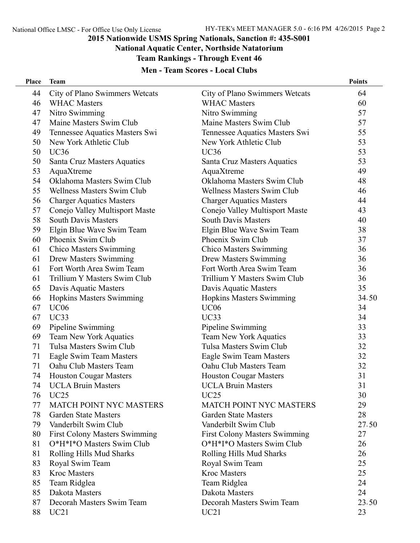# **National Aquatic Center, Northside Natatorium**

**Team Rankings - Through Event 46**

| <b>Men - Team Scores - Local Clubs</b> |  |  |  |  |  |
|----------------------------------------|--|--|--|--|--|
|----------------------------------------|--|--|--|--|--|

| Place | <b>Team</b>                          |                                      | <b>Points</b> |
|-------|--------------------------------------|--------------------------------------|---------------|
| 44    | City of Plano Swimmers Wetcats       | City of Plano Swimmers Wetcats       | 64            |
| 46    | <b>WHAC Masters</b>                  | <b>WHAC Masters</b>                  | 60            |
| 47    | Nitro Swimming                       | Nitro Swimming                       | 57            |
| 47    | Maine Masters Swim Club              | Maine Masters Swim Club              | 57            |
| 49    | Tennessee Aquatics Masters Swi       | Tennessee Aquatics Masters Swi       | 55            |
| 50    | New York Athletic Club               | New York Athletic Club               | 53            |
| 50    | UC36                                 | <b>UC36</b>                          | 53            |
| 50    | Santa Cruz Masters Aquatics          | Santa Cruz Masters Aquatics          | 53            |
| 53    | AquaXtreme                           | AquaXtreme                           | 49            |
| 54    | Oklahoma Masters Swim Club           | Oklahoma Masters Swim Club           | 48            |
| 55    | <b>Wellness Masters Swim Club</b>    | <b>Wellness Masters Swim Club</b>    | 46            |
| 56    | <b>Charger Aquatics Masters</b>      | <b>Charger Aquatics Masters</b>      | 44            |
| 57    | Conejo Valley Multisport Maste       | Conejo Valley Multisport Maste       | 43            |
| 58    | <b>South Davis Masters</b>           | <b>South Davis Masters</b>           | 40            |
| 59    | Elgin Blue Wave Swim Team            | Elgin Blue Wave Swim Team            | 38            |
| 60    | Phoenix Swim Club                    | Phoenix Swim Club                    | 37            |
| 61    | <b>Chico Masters Swimming</b>        | <b>Chico Masters Swimming</b>        | 36            |
| 61    | Drew Masters Swimming                | <b>Drew Masters Swimming</b>         | 36            |
| 61    | Fort Worth Area Swim Team            | Fort Worth Area Swim Team            | 36            |
| 61    | Trillium Y Masters Swim Club         | Trillium Y Masters Swim Club         | 36            |
| 65    | Davis Aquatic Masters                | Davis Aquatic Masters                | 35            |
| 66    | <b>Hopkins Masters Swimming</b>      | <b>Hopkins Masters Swimming</b>      | 34.50         |
| 67    | <b>UC06</b>                          | UC <sub>06</sub>                     | 34            |
| 67    | UC33                                 | UC33                                 | 34            |
| 69    | Pipeline Swimming                    | Pipeline Swimming                    | 33            |
| 69    | Team New York Aquatics               | <b>Team New York Aquatics</b>        | 33            |
| 71    | Tulsa Masters Swim Club              | Tulsa Masters Swim Club              | 32            |
| 71    | Eagle Swim Team Masters              | Eagle Swim Team Masters              | 32            |
| 71    | Oahu Club Masters Team               | Oahu Club Masters Team               | 32            |
| 74    | <b>Houston Cougar Masters</b>        | <b>Houston Cougar Masters</b>        | 31            |
| 74    | <b>UCLA Bruin Masters</b>            | <b>UCLA Bruin Masters</b>            | 31            |
| 76    | UC25                                 | UC25                                 | 30            |
| 77    | <b>MATCH POINT NYC MASTERS</b>       | <b>MATCH POINT NYC MASTERS</b>       | 29            |
| 78    | <b>Garden State Masters</b>          | <b>Garden State Masters</b>          | 28            |
| 79    | Vanderbilt Swim Club                 | Vanderbilt Swim Club                 | 27.50         |
| 80    | <b>First Colony Masters Swimming</b> | <b>First Colony Masters Swimming</b> | 27            |
| 81    | O*H*I*O Masters Swim Club            | O*H*I*O Masters Swim Club            | 26            |
| 81    | Rolling Hills Mud Sharks             | Rolling Hills Mud Sharks             | 26            |
| 83    | Royal Swim Team                      | Royal Swim Team                      | 25            |
| 83    | <b>Kroc Masters</b>                  | <b>Kroc Masters</b>                  | 25            |
| 85    | Team Ridglea                         | Team Ridglea                         | 24            |
| 85    | Dakota Masters                       | Dakota Masters                       | 24            |
| 87    | Decorah Masters Swim Team            | Decorah Masters Swim Team            | 23.50         |
| 88    | UC21                                 | UC21                                 | 23            |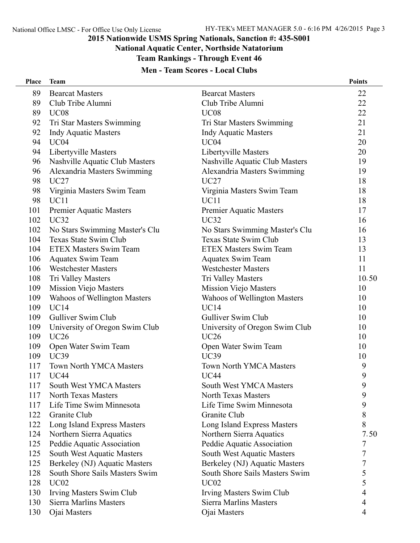#### **National Aquatic Center, Northside Natatorium**

**Team Rankings - Through Event 46**

| <b>Men - Team Scores - Local Clubs</b> |                                |                                |               |
|----------------------------------------|--------------------------------|--------------------------------|---------------|
| Place                                  | <b>Team</b>                    |                                | <b>Points</b> |
| 89                                     | <b>Bearcat Masters</b>         | <b>Bearcat Masters</b>         | 22            |
| 89                                     | Club Tribe Alumni              | Club Tribe Alumni              | 22            |
| 89                                     | <b>UC08</b>                    | <b>UC08</b>                    | 22            |
| 92                                     | Tri Star Masters Swimming      | Tri Star Masters Swimming      | 21            |
| 92                                     | <b>Indy Aquatic Masters</b>    | <b>Indy Aquatic Masters</b>    | 21            |
| 94                                     | UC <sub>04</sub>               | UC <sub>04</sub>               | 20            |
| 94                                     | Libertyville Masters           | Libertyville Masters           | 20            |
| 96                                     | Nashville Aquatic Club Masters | Nashville Aquatic Club Masters | 19            |
| 96                                     | Alexandria Masters Swimming    | Alexandria Masters Swimming    | 19            |
| 98                                     | UC27                           | UC27                           | 18            |
| 98                                     | Virginia Masters Swim Team     | Virginia Masters Swim Team     | 18            |
| 98                                     | <b>UC11</b>                    | UC <sub>11</sub>               | 18            |
| 101                                    | <b>Premier Aquatic Masters</b> | <b>Premier Aquatic Masters</b> | 17            |
| 102                                    | UC32                           | UC32                           | 16            |
| 102                                    | No Stars Swimming Master's Clu | No Stars Swimming Master's Clu | 16            |
| 104                                    | Texas State Swim Club          | Texas State Swim Club          | 13            |
| 104                                    | <b>ETEX Masters Swim Team</b>  | <b>ETEX Masters Swim Team</b>  | 13            |
| 106                                    | <b>Aquatex Swim Team</b>       | <b>Aquatex Swim Team</b>       | 11            |
| 106                                    | Westchester Masters            | <b>Westchester Masters</b>     | 11            |

#### 125 Peddie Aquatic Association 125 South West Aquatic Masters 125 Berkeley (NJ) Aquatic Masters

- 128 South Shore Sails Masters Swim
- 
- 130 Irving Masters Swim Club
- 130 Sierra Marlins Masters

| 98  | Virginia Masters Swim Team        | Virginia Masters Swim Team        | 18    |
|-----|-----------------------------------|-----------------------------------|-------|
| 98  | UC11                              | <b>UC11</b>                       | 18    |
| 101 | <b>Premier Aquatic Masters</b>    | <b>Premier Aquatic Masters</b>    | 17    |
| 102 | <b>UC32</b>                       | <b>UC32</b>                       | 16    |
| 102 | No Stars Swimming Master's Clu    | No Stars Swimming Master's Clu    | 16    |
| 104 | Texas State Swim Club             | <b>Texas State Swim Club</b>      | 13    |
| 104 | <b>ETEX Masters Swim Team</b>     | <b>ETEX Masters Swim Team</b>     | 13    |
| 106 | <b>Aquatex Swim Team</b>          | <b>Aquatex Swim Team</b>          | 11    |
| 106 | <b>Westchester Masters</b>        | <b>Westchester Masters</b>        | 11    |
| 108 | Tri Valley Masters                | Tri Valley Masters                | 10.50 |
| 109 | <b>Mission Viejo Masters</b>      | <b>Mission Viejo Masters</b>      | 10    |
| 109 | Wahoos of Wellington Masters      | Wahoos of Wellington Masters      | 10    |
| 109 | <b>UC14</b>                       | <b>UC14</b>                       | 10    |
| 109 | Gulliver Swim Club                | Gulliver Swim Club                | 10    |
| 109 | University of Oregon Swim Club    | University of Oregon Swim Club    | 10    |
| 109 | <b>UC26</b>                       | <b>UC26</b>                       | 10    |
| 109 | Open Water Swim Team              | Open Water Swim Team              | 10    |
| 109 | <b>UC39</b>                       | <b>UC39</b>                       | 10    |
| 117 | <b>Town North YMCA Masters</b>    | <b>Town North YMCA Masters</b>    | 9     |
| 117 | <b>UC44</b>                       | <b>UC44</b>                       | 9     |
| 117 | <b>South West YMCA Masters</b>    | <b>South West YMCA Masters</b>    | 9     |
| 117 | North Texas Masters               | North Texas Masters               | 9     |
| 117 | Life Time Swim Minnesota          | Life Time Swim Minnesota          | 9     |
| 122 | Granite Club                      | Granite Club                      | 8     |
| 122 | Long Island Express Masters       | Long Island Express Masters       | 8     |
| 124 | Northern Sierra Aquatics          | Northern Sierra Aquatics          | 7.50  |
| 125 | Peddie Aquatic Association        | Peddie Aquatic Association        | 7     |
| 125 | <b>South West Aquatic Masters</b> | <b>South West Aquatic Masters</b> | 7     |
| 125 | Berkeley (NJ) Aquatic Masters     | Berkeley (NJ) Aquatic Masters     | 7     |
| 128 | South Shore Sails Masters Swim    | South Shore Sails Masters Swim    | 5     |
| 128 | UC <sub>02</sub>                  | <b>UC02</b>                       | 5     |
| 130 | Irving Masters Swim Club          | <b>Irving Masters Swim Club</b>   | 4     |
| 130 | <b>Sierra Marlins Masters</b>     | <b>Sierra Marlins Masters</b>     | 4     |
| 130 | Ojai Masters                      | Ojai Masters                      | 4     |